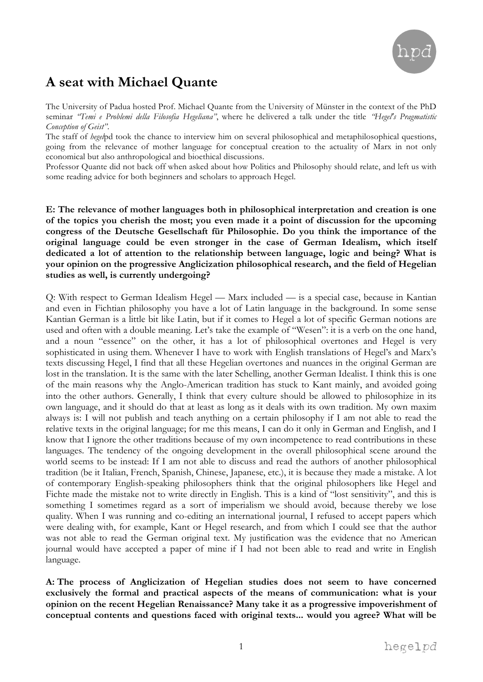

# **A seat with Michael Quante**

The University of Padua hosted Prof. Michael Quante from the University of Münster in the context of the PhD seminar *"Temi e Problemi della Filosofia Hegeliana"*, where he delivered a talk under the title *"Hegel's Pragmatistic Conception of Geist"*.

The staff of *hegel*pd took the chance to interview him on several philosophical and metaphilosophical questions, going from the relevance of mother language for conceptual creation to the actuality of Marx in not only economical but also anthropological and bioethical discussions.

Professor Quante did not back off when asked about how Politics and Philosophy should relate, and left us with some reading advice for both beginners and scholars to approach Hegel.

**E: The relevance of mother languages both in philosophical interpretation and creation is one of the topics you cherish the most; you even made it a point of discussion for the upcoming congress of the Deutsche Gesellschaft für Philosophie. Do you think the importance of the original language could be even stronger in the case of German Idealism, which itself dedicated a lot of attention to the relationship between language, logic and being? What is your opinion on the progressive Anglicization philosophical research, and the field of Hegelian studies as well, is currently undergoing?**

Q: With respect to German Idealism Hegel — Marx included — is a special case, because in Kantian and even in Fichtian philosophy you have a lot of Latin language in the background. In some sense Kantian German is a little bit like Latin, but if it comes to Hegel a lot of specific German notions are used and often with a double meaning. Let's take the example of "Wesen": it is a verb on the one hand, and a noun "essence" on the other, it has a lot of philosophical overtones and Hegel is very sophisticated in using them. Whenever I have to work with English translations of Hegel's and Marx's texts discussing Hegel, I find that all these Hegelian overtones and nuances in the original German are lost in the translation. It is the same with the later Schelling, another German Idealist. I think this is one of the main reasons why the Anglo-American tradition has stuck to Kant mainly, and avoided going into the other authors. Generally, I think that every culture should be allowed to philosophize in its own language, and it should do that at least as long as it deals with its own tradition. My own maxim always is: I will not publish and teach anything on a certain philosophy if I am not able to read the relative texts in the original language; for me this means, I can do it only in German and English, and I know that I ignore the other traditions because of my own incompetence to read contributions in these languages. The tendency of the ongoing development in the overall philosophical scene around the world seems to be instead: If I am not able to discuss and read the authors of another philosophical tradition (be it Italian, French, Spanish, Chinese, Japanese, etc.), it is because they made a mistake. A lot of contemporary English-speaking philosophers think that the original philosophers like Hegel and Fichte made the mistake not to write directly in English. This is a kind of "lost sensitivity", and this is something I sometimes regard as a sort of imperialism we should avoid, because thereby we lose quality. When I was running and co-editing an international journal, I refused to accept papers which were dealing with, for example, Kant or Hegel research, and from which I could see that the author was not able to read the German original text. My justification was the evidence that no American journal would have accepted a paper of mine if I had not been able to read and write in English language.

**A: The process of Anglicization of Hegelian studies does not seem to have concerned exclusively the formal and practical aspects of the means of communication: what is your opinion on the recent Hegelian Renaissance? Many take it as a progressive impoverishment of conceptual contents and questions faced with original texts... would you agree? What will be**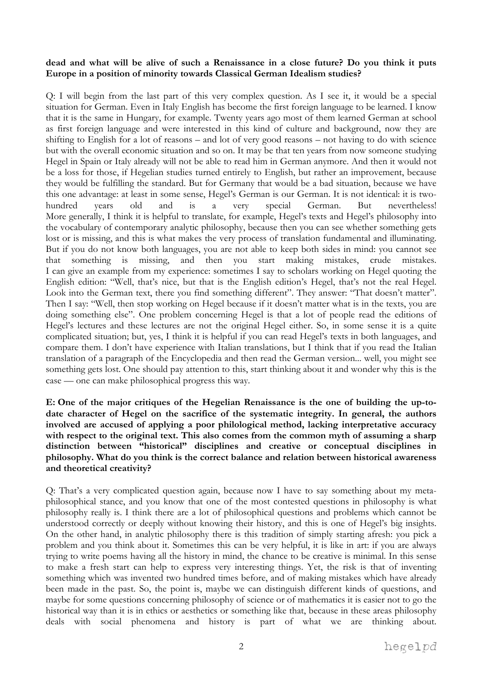#### **dead and what will be alive of such a Renaissance in a close future? Do you think it puts Europe in a position of minority towards Classical German Idealism studies?**

Q: I will begin from the last part of this very complex question. As I see it, it would be a special situation for German. Even in Italy English has become the first foreign language to be learned. I know that it is the same in Hungary, for example. Twenty years ago most of them learned German at school as first foreign language and were interested in this kind of culture and background, now they are shifting to English for a lot of reasons – and lot of very good reasons – not having to do with science but with the overall economic situation and so on. It may be that ten years from now someone studying Hegel in Spain or Italy already will not be able to read him in German anymore. And then it would not be a loss for those, if Hegelian studies turned entirely to English, but rather an improvement, because they would be fulfilling the standard. But for Germany that would be a bad situation, because we have this one advantage: at least in some sense, Hegel's German is our German. It is not identical: it is twohundred years old and is a very special German. But nevertheless! More generally, I think it is helpful to translate, for example, Hegel's texts and Hegel's philosophy into the vocabulary of contemporary analytic philosophy, because then you can see whether something gets lost or is missing, and this is what makes the very process of translation fundamental and illuminating. But if you do not know both languages, you are not able to keep both sides in mind: you cannot see that something is missing, and then you start making mistakes, crude mistakes. I can give an example from my experience: sometimes I say to scholars working on Hegel quoting the English edition: "Well, that's nice, but that is the English edition's Hegel, that's not the real Hegel. Look into the German text, there you find something different". They answer: "That doesn't matter". Then I say: "Well, then stop working on Hegel because if it doesn't matter what is in the texts, you are doing something else". One problem concerning Hegel is that a lot of people read the editions of Hegel's lectures and these lectures are not the original Hegel either. So, in some sense it is a quite complicated situation; but, yes, I think it is helpful if you can read Hegel's texts in both languages, and compare them. I don't have experience with Italian translations, but I think that if you read the Italian translation of a paragraph of the Encyclopedia and then read the German version... well, you might see something gets lost. One should pay attention to this, start thinking about it and wonder why this is the case — one can make philosophical progress this way.

**E: One of the major critiques of the Hegelian Renaissance is the one of building the up-todate character of Hegel on the sacrifice of the systematic integrity. In general, the authors involved are accused of applying a poor philological method, lacking interpretative accuracy**  with respect to the original text. This also comes from the common myth of assuming a sharp **distinction between "historical" disciplines and creative or conceptual disciplines in philosophy. What do you think is the correct balance and relation between historical awareness and theoretical creativity?**

Q: That's a very complicated question again, because now I have to say something about my metaphilosophical stance, and you know that one of the most contested questions in philosophy is what philosophy really is. I think there are a lot of philosophical questions and problems which cannot be understood correctly or deeply without knowing their history, and this is one of Hegel's big insights. On the other hand, in analytic philosophy there is this tradition of simply starting afresh: you pick a problem and you think about it. Sometimes this can be very helpful, it is like in art: if you are always trying to write poems having all the history in mind, the chance to be creative is minimal. In this sense to make a fresh start can help to express very interesting things. Yet, the risk is that of inventing something which was invented two hundred times before, and of making mistakes which have already been made in the past. So, the point is, maybe we can distinguish different kinds of questions, and maybe for some questions concerning philosophy of science or of mathematics it is easier not to go the historical way than it is in ethics or aesthetics or something like that, because in these areas philosophy deals with social phenomena and history is part of what we are thinking about.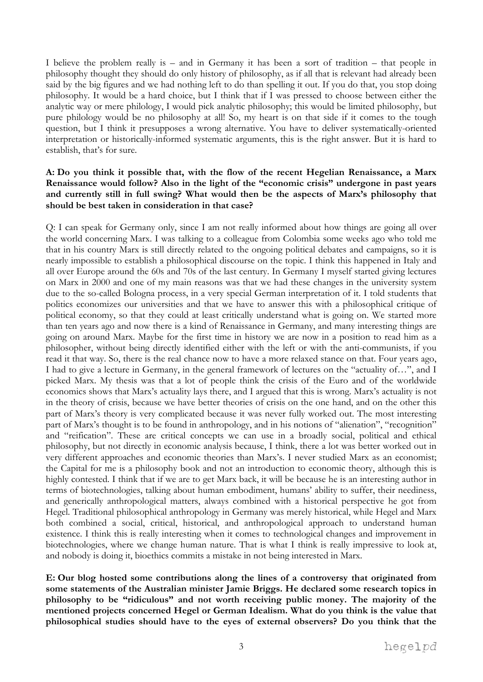I believe the problem really is – and in Germany it has been a sort of tradition – that people in philosophy thought they should do only history of philosophy, as if all that is relevant had already been said by the big figures and we had nothing left to do than spelling it out. If you do that, you stop doing philosophy. It would be a hard choice, but I think that if I was pressed to choose between either the analytic way or mere philology, I would pick analytic philosophy; this would be limited philosophy, but pure philology would be no philosophy at all! So, my heart is on that side if it comes to the tough question, but I think it presupposes a wrong alternative. You have to deliver systematically-oriented interpretation or historically-informed systematic arguments, this is the right answer. But it is hard to establish, that's for sure.

## **A: Do you think it possible that, with the flow of the recent Hegelian Renaissance, a Marx Renaissance would follow? Also in the light of the "economic crisis" undergone in past years and currently still in full swing? What would then be the aspects of Marx's philosophy that should be best taken in consideration in that case?**

Q: I can speak for Germany only, since I am not really informed about how things are going all over the world concerning Marx. I was talking to a colleague from Colombia some weeks ago who told me that in his country Marx is still directly related to the ongoing political debates and campaigns, so it is nearly impossible to establish a philosophical discourse on the topic. I think this happened in Italy and all over Europe around the 60s and 70s of the last century. In Germany I myself started giving lectures on Marx in 2000 and one of my main reasons was that we had these changes in the university system due to the so-called Bologna process, in a very special German interpretation of it. I told students that politics economizes our universities and that we have to answer this with a philosophical critique of political economy, so that they could at least critically understand what is going on. We started more than ten years ago and now there is a kind of Renaissance in Germany, and many interesting things are going on around Marx. Maybe for the first time in history we are now in a position to read him as a philosopher, without being directly identified either with the left or with the anti-communists, if you read it that way. So, there is the real chance now to have a more relaxed stance on that. Four years ago, I had to give a lecture in Germany, in the general framework of lectures on the "actuality of…", and I picked Marx. My thesis was that a lot of people think the crisis of the Euro and of the worldwide economics shows that Marx's actuality lays there, and I argued that this is wrong. Marx's actuality is not in the theory of crisis, because we have better theories of crisis on the one hand, and on the other this part of Marx's theory is very complicated because it was never fully worked out. The most interesting part of Marx's thought is to be found in anthropology, and in his notions of "alienation", "recognition" and "reification". These are critical concepts we can use in a broadly social, political and ethical philosophy, but not directly in economic analysis because, I think, there a lot was better worked out in very different approaches and economic theories than Marx's. I never studied Marx as an economist; the Capital for me is a philosophy book and not an introduction to economic theory, although this is highly contested. I think that if we are to get Marx back, it will be because he is an interesting author in terms of biotechnologies, talking about human embodiment, humans' ability to suffer, their neediness, and generically anthropological matters, always combined with a historical perspective he got from Hegel. Traditional philosophical anthropology in Germany was merely historical, while Hegel and Marx both combined a social, critical, historical, and anthropological approach to understand human existence. I think this is really interesting when it comes to technological changes and improvement in biotechnologies, where we change human nature. That is what I think is really impressive to look at, and nobody is doing it, bioethics commits a mistake in not being interested in Marx.

**E: Our blog hosted some contributions along the lines of a controversy that originated from some statements of the Australian minister Jamie Briggs. He declared some research topics in philosophy to be "ridiculous" and not worth receiving public money. The majority of the mentioned projects concerned Hegel or German Idealism. What do you think is the value that philosophical studies should have to the eyes of external observers? Do you think that the**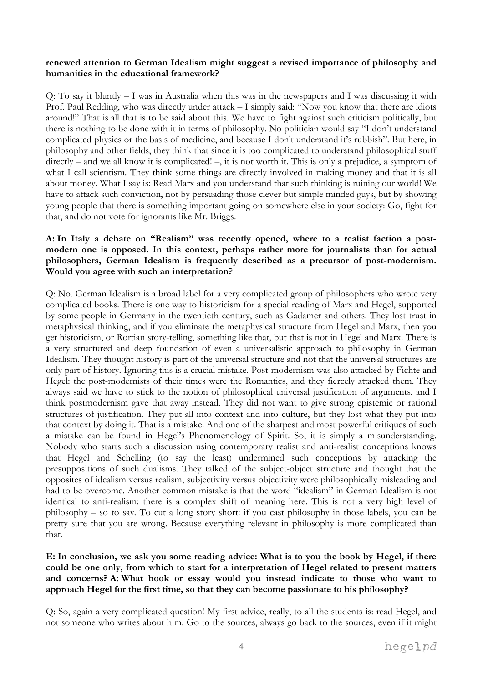### **renewed attention to German Idealism might suggest a revised importance of philosophy and humanities in the educational framework?**

Q: To say it bluntly – I was in Australia when this was in the newspapers and I was discussing it with Prof. Paul Redding, who was directly under attack – I simply said: "Now you know that there are idiots around!" That is all that is to be said about this. We have to fight against such criticism politically, but there is nothing to be done with it in terms of philosophy. No politician would say "I don't understand complicated physics or the basis of medicine, and because I don't understand it's rubbish". But here, in philosophy and other fields, they think that since it is too complicated to understand philosophical stuff directly – and we all know it is complicated! –, it is not worth it. This is only a prejudice, a symptom of what I call scientism. They think some things are directly involved in making money and that it is all about money. What I say is: Read Marx and you understand that such thinking is ruining our world! We have to attack such conviction, not by persuading those clever but simple minded guys, but by showing young people that there is something important going on somewhere else in your society: Go, fight for that, and do not vote for ignorants like Mr. Briggs.

## **A: In Italy a debate on "Realism" was recently opened, where to a realist faction a postmodern one is opposed. In this context, perhaps rather more for journalists than for actual philosophers, German Idealism is frequently described as a precursor of post-modernism. Would you agree with such an interpretation?**

Q: No. German Idealism is a broad label for a very complicated group of philosophers who wrote very complicated books. There is one way to historicism for a special reading of Marx and Hegel, supported by some people in Germany in the twentieth century, such as Gadamer and others. They lost trust in metaphysical thinking, and if you eliminate the metaphysical structure from Hegel and Marx, then you get historicism, or Rortian story-telling, something like that, but that is not in Hegel and Marx. There is a very structured and deep foundation of even a universalistic approach to philosophy in German Idealism. They thought history is part of the universal structure and not that the universal structures are only part of history. Ignoring this is a crucial mistake. Post-modernism was also attacked by Fichte and Hegel: the post-modernists of their times were the Romantics, and they fiercely attacked them. They always said we have to stick to the notion of philosophical universal justification of arguments, and I think postmodernism gave that away instead. They did not want to give strong epistemic or rational structures of justification. They put all into context and into culture, but they lost what they put into that context by doing it. That is a mistake. And one of the sharpest and most powerful critiques of such a mistake can be found in Hegel's Phenomenology of Spirit. So, it is simply a misunderstanding. Nobody who starts such a discussion using contemporary realist and anti-realist conceptions knows that Hegel and Schelling (to say the least) undermined such conceptions by attacking the presuppositions of such dualisms. They talked of the subject-object structure and thought that the opposites of idealism versus realism, subjectivity versus objectivity were philosophically misleading and had to be overcome. Another common mistake is that the word "idealism" in German Idealism is not identical to anti-realism: there is a complex shift of meaning here. This is not a very high level of philosophy – so to say. To cut a long story short: if you cast philosophy in those labels, you can be pretty sure that you are wrong. Because everything relevant in philosophy is more complicated than that.

## **E: In conclusion, we ask you some reading advice: What is to you the book by Hegel, if there could be one only, from which to start for a interpretation of Hegel related to present matters and concerns? A: What book or essay would you instead indicate to those who want to approach Hegel for the first time, so that they can become passionate to his philosophy?**

Q: So, again a very complicated question! My first advice, really, to all the students is: read Hegel, and not someone who writes about him. Go to the sources, always go back to the sources, even if it might